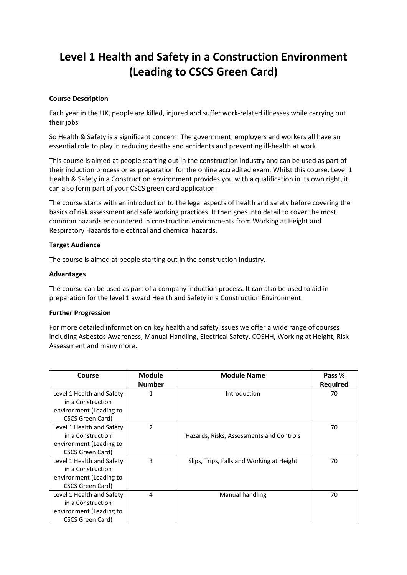# **Level 1 Health and Safety in a Construction Environment (Leading to CSCS Green Card)**

### **Course Description**

Each year in the UK, people are killed, injured and suffer work-related illnesses while carrying out their jobs.

So Health & Safety is a significant concern. The government, employers and workers all have an essential role to play in reducing deaths and accidents and preventing ill-health at work.

This course is aimed at people starting out in the construction industry and can be used as part of their induction process or as preparation for the online accredited exam. Whilst this course, Level 1 Health & Safety in a Construction environment provides you with a qualification in its own right, it can also form part of your CSCS green card application.

The course starts with an introduction to the legal aspects of health and safety before covering the basics of risk assessment and safe working practices. It then goes into detail to cover the most common hazards encountered in construction environments from Working at Height and Respiratory Hazards to electrical and chemical hazards.

#### **Target Audience**

The course is aimed at people starting out in the construction industry.

#### **Advantages**

The course can be used as part of a company induction process. It can also be used to aid in preparation for the level 1 award Health and Safety in a Construction Environment.

#### **Further Progression**

For more detailed information on key health and safety issues we offer a wide range of courses including Asbestos Awareness, Manual Handling, Electrical Safety, COSHH, Working at Height, Risk Assessment and many more.

| Course                    | <b>Module</b>  | <b>Module Name</b>                        | Pass %          |
|---------------------------|----------------|-------------------------------------------|-----------------|
|                           | <b>Number</b>  |                                           | <b>Required</b> |
| Level 1 Health and Safety |                | Introduction                              | 70              |
| in a Construction         |                |                                           |                 |
| environment (Leading to   |                |                                           |                 |
| CSCS Green Card)          |                |                                           |                 |
| Level 1 Health and Safety | $\overline{2}$ |                                           | 70              |
| in a Construction         |                | Hazards, Risks, Assessments and Controls  |                 |
| environment (Leading to   |                |                                           |                 |
| CSCS Green Card)          |                |                                           |                 |
| Level 1 Health and Safety | 3              | Slips, Trips, Falls and Working at Height | 70              |
| in a Construction         |                |                                           |                 |
| environment (Leading to   |                |                                           |                 |
| CSCS Green Card)          |                |                                           |                 |
| Level 1 Health and Safety | 4              | Manual handling                           | 70              |
| in a Construction         |                |                                           |                 |
| environment (Leading to   |                |                                           |                 |
| CSCS Green Card)          |                |                                           |                 |